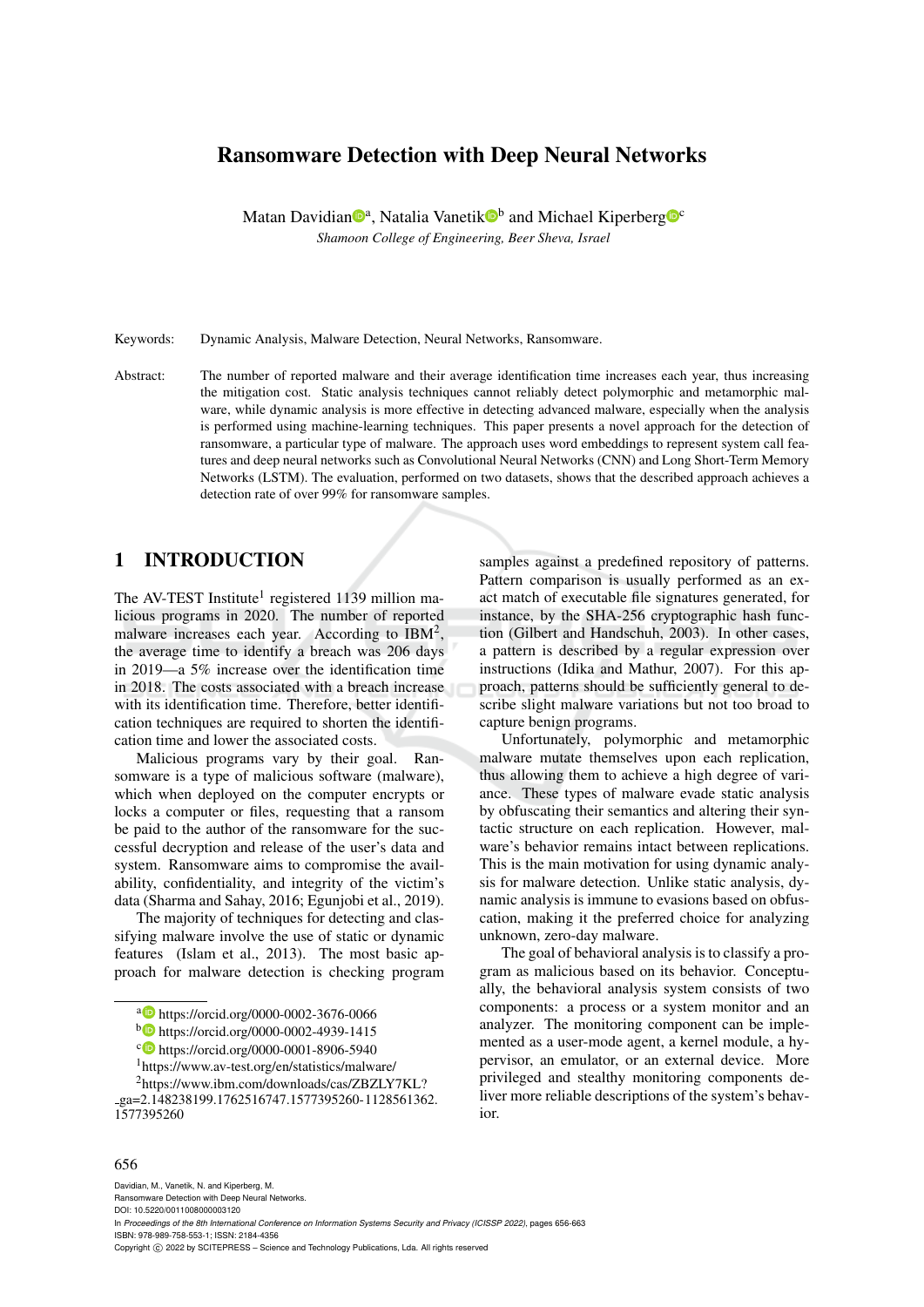# Ransomware Detection with Deep Neural Networks

Matan Davidian<sup>®a</sup>, Natalia Vanetik<sup>®b</sup> and Michael Kiperberg<sup>®c</sup> *Shamoon College of Engineering, Beer Sheva, Israel*

Keywords: Dynamic Analysis, Malware Detection, Neural Networks, Ransomware.

Abstract: The number of reported malware and their average identification time increases each year, thus increasing the mitigation cost. Static analysis techniques cannot reliably detect polymorphic and metamorphic malware, while dynamic analysis is more effective in detecting advanced malware, especially when the analysis is performed using machine-learning techniques. This paper presents a novel approach for the detection of ransomware, a particular type of malware. The approach uses word embeddings to represent system call features and deep neural networks such as Convolutional Neural Networks (CNN) and Long Short-Term Memory Networks (LSTM). The evaluation, performed on two datasets, shows that the described approach achieves a detection rate of over 99% for ransomware samples.

## 1 INTRODUCTION

The AV-TEST Institute<sup>1</sup> registered 1139 million malicious programs in 2020. The number of reported malware increases each year. According to  $IBM^2$ , the average time to identify a breach was 206 days in 2019—a 5% increase over the identification time in 2018. The costs associated with a breach increase with its identification time. Therefore, better identification techniques are required to shorten the identification time and lower the associated costs.

Malicious programs vary by their goal. Ransomware is a type of malicious software (malware), which when deployed on the computer encrypts or locks a computer or files, requesting that a ransom be paid to the author of the ransomware for the successful decryption and release of the user's data and system. Ransomware aims to compromise the availability, confidentiality, and integrity of the victim's data (Sharma and Sahay, 2016; Egunjobi et al., 2019).

The majority of techniques for detecting and classifying malware involve the use of static or dynamic features (Islam et al., 2013). The most basic approach for malware detection is checking program

<sup>1</sup>https://www.av-test.org/en/statistics/malware/

samples against a predefined repository of patterns. Pattern comparison is usually performed as an exact match of executable file signatures generated, for instance, by the SHA-256 cryptographic hash function (Gilbert and Handschuh, 2003). In other cases, a pattern is described by a regular expression over instructions (Idika and Mathur, 2007). For this approach, patterns should be sufficiently general to describe slight malware variations but not too broad to capture benign programs.

Unfortunately, polymorphic and metamorphic malware mutate themselves upon each replication, thus allowing them to achieve a high degree of variance. These types of malware evade static analysis by obfuscating their semantics and altering their syntactic structure on each replication. However, malware's behavior remains intact between replications. This is the main motivation for using dynamic analysis for malware detection. Unlike static analysis, dynamic analysis is immune to evasions based on obfuscation, making it the preferred choice for analyzing unknown, zero-day malware.

The goal of behavioral analysis is to classify a program as malicious based on its behavior. Conceptually, the behavioral analysis system consists of two components: a process or a system monitor and an analyzer. The monitoring component can be implemented as a user-mode agent, a kernel module, a hypervisor, an emulator, or an external device. More privileged and stealthy monitoring components deliver more reliable descriptions of the system's behavior.

#### 656

Davidian, M., Vanetik, N. and Kiperberg, M.

Ransomware Detection with Deep Neural Networks. DOI: 10.5220/0011008000003120

Copyright (C) 2022 by SCITEPRESS - Science and Technology Publications, Lda. All rights reserved

<sup>a</sup> https://orcid.org/0000-0002-3676-0066

<sup>b</sup> https://orcid.org/0000-0002-4939-1415

<sup>c</sup> https://orcid.org/0000-0001-8906-5940

<sup>2</sup>https://www.ibm.com/downloads/cas/ZBZLY7KL?

ga=2.148238199.1762516747.1577395260-1128561362. 1577395260

In *Proceedings of the 8th International Conference on Information Systems Security and Privacy (ICISSP 2022)*, pages 656-663 ISBN: 978-989-758-553-1; ISSN: 2184-4356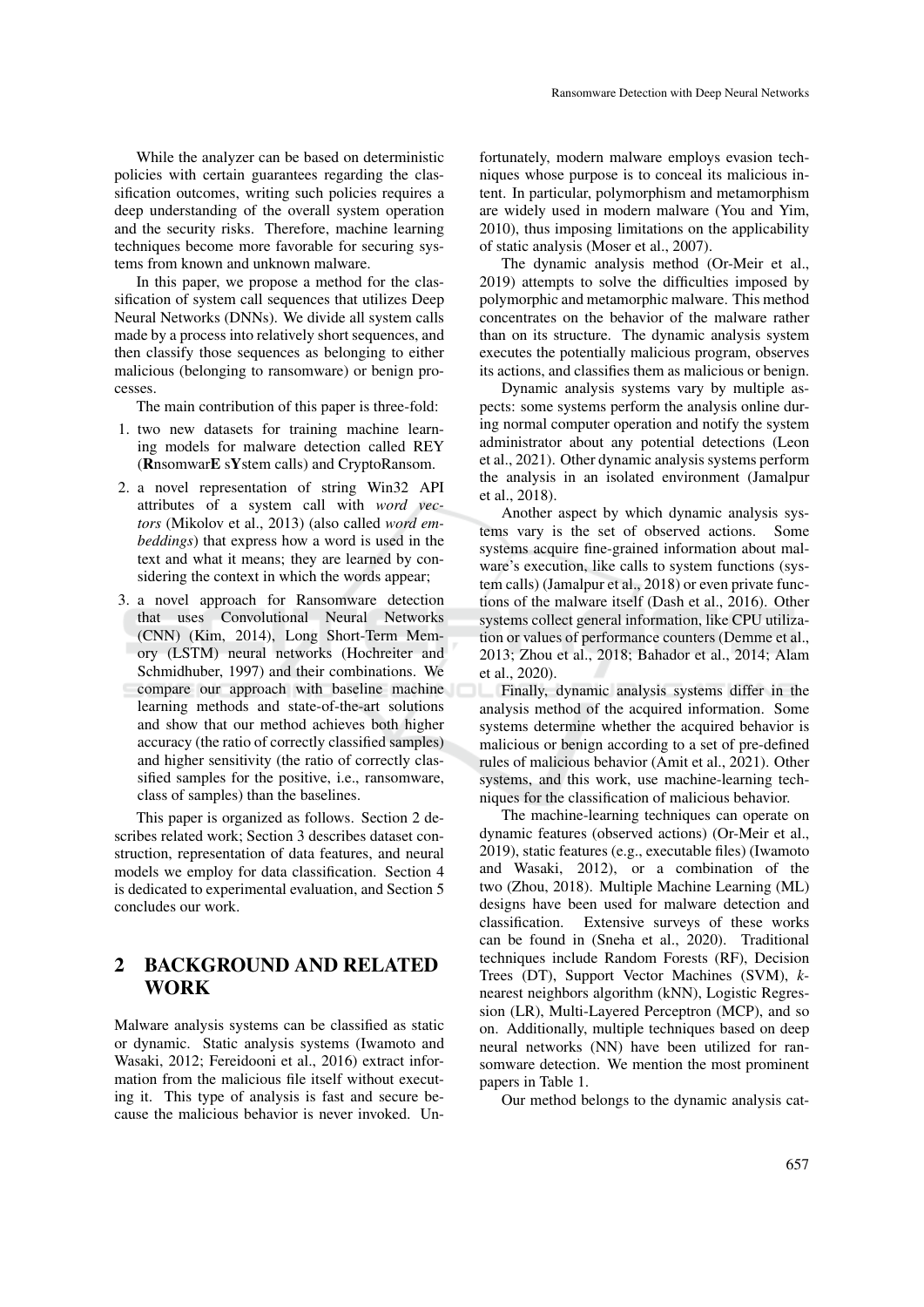While the analyzer can be based on deterministic policies with certain guarantees regarding the classification outcomes, writing such policies requires a deep understanding of the overall system operation and the security risks. Therefore, machine learning techniques become more favorable for securing systems from known and unknown malware.

In this paper, we propose a method for the classification of system call sequences that utilizes Deep Neural Networks (DNNs). We divide all system calls made by a process into relatively short sequences, and then classify those sequences as belonging to either malicious (belonging to ransomware) or benign processes.

The main contribution of this paper is three-fold:

- 1. two new datasets for training machine learning models for malware detection called REY (RnsomwarE sYstem calls) and CryptoRansom.
- 2. a novel representation of string Win32 API attributes of a system call with *word vectors* (Mikolov et al., 2013) (also called *word embeddings*) that express how a word is used in the text and what it means; they are learned by considering the context in which the words appear;
- 3. a novel approach for Ransomware detection that uses Convolutional Neural Networks (CNN) (Kim, 2014), Long Short-Term Memory (LSTM) neural networks (Hochreiter and Schmidhuber, 1997) and their combinations. We compare our approach with baseline machine learning methods and state-of-the-art solutions and show that our method achieves both higher accuracy (the ratio of correctly classified samples) and higher sensitivity (the ratio of correctly classified samples for the positive, i.e., ransomware, class of samples) than the baselines.

This paper is organized as follows. Section 2 describes related work; Section 3 describes dataset construction, representation of data features, and neural models we employ for data classification. Section 4 is dedicated to experimental evaluation, and Section 5 concludes our work.

# 2 BACKGROUND AND RELATED WORK

Malware analysis systems can be classified as static or dynamic. Static analysis systems (Iwamoto and Wasaki, 2012; Fereidooni et al., 2016) extract information from the malicious file itself without executing it. This type of analysis is fast and secure because the malicious behavior is never invoked. Un-

fortunately, modern malware employs evasion techniques whose purpose is to conceal its malicious intent. In particular, polymorphism and metamorphism are widely used in modern malware (You and Yim, 2010), thus imposing limitations on the applicability of static analysis (Moser et al., 2007).

The dynamic analysis method (Or-Meir et al., 2019) attempts to solve the difficulties imposed by polymorphic and metamorphic malware. This method concentrates on the behavior of the malware rather than on its structure. The dynamic analysis system executes the potentially malicious program, observes its actions, and classifies them as malicious or benign.

Dynamic analysis systems vary by multiple aspects: some systems perform the analysis online during normal computer operation and notify the system administrator about any potential detections (Leon et al., 2021). Other dynamic analysis systems perform the analysis in an isolated environment (Jamalpur et al., 2018).

Another aspect by which dynamic analysis systems vary is the set of observed actions. Some systems acquire fine-grained information about malware's execution, like calls to system functions (system calls) (Jamalpur et al., 2018) or even private functions of the malware itself (Dash et al., 2016). Other systems collect general information, like CPU utilization or values of performance counters (Demme et al., 2013; Zhou et al., 2018; Bahador et al., 2014; Alam et al., 2020).

Finally, dynamic analysis systems differ in the analysis method of the acquired information. Some systems determine whether the acquired behavior is malicious or benign according to a set of pre-defined rules of malicious behavior (Amit et al., 2021). Other systems, and this work, use machine-learning techniques for the classification of malicious behavior.

The machine-learning techniques can operate on dynamic features (observed actions) (Or-Meir et al., 2019), static features (e.g., executable files) (Iwamoto and Wasaki, 2012), or a combination of the two (Zhou, 2018). Multiple Machine Learning (ML) designs have been used for malware detection and classification. Extensive surveys of these works can be found in (Sneha et al., 2020). Traditional techniques include Random Forests (RF), Decision Trees (DT), Support Vector Machines (SVM), *k*nearest neighbors algorithm (kNN), Logistic Regression (LR), Multi-Layered Perceptron (MCP), and so on. Additionally, multiple techniques based on deep neural networks (NN) have been utilized for ransomware detection. We mention the most prominent papers in Table 1.

Our method belongs to the dynamic analysis cat-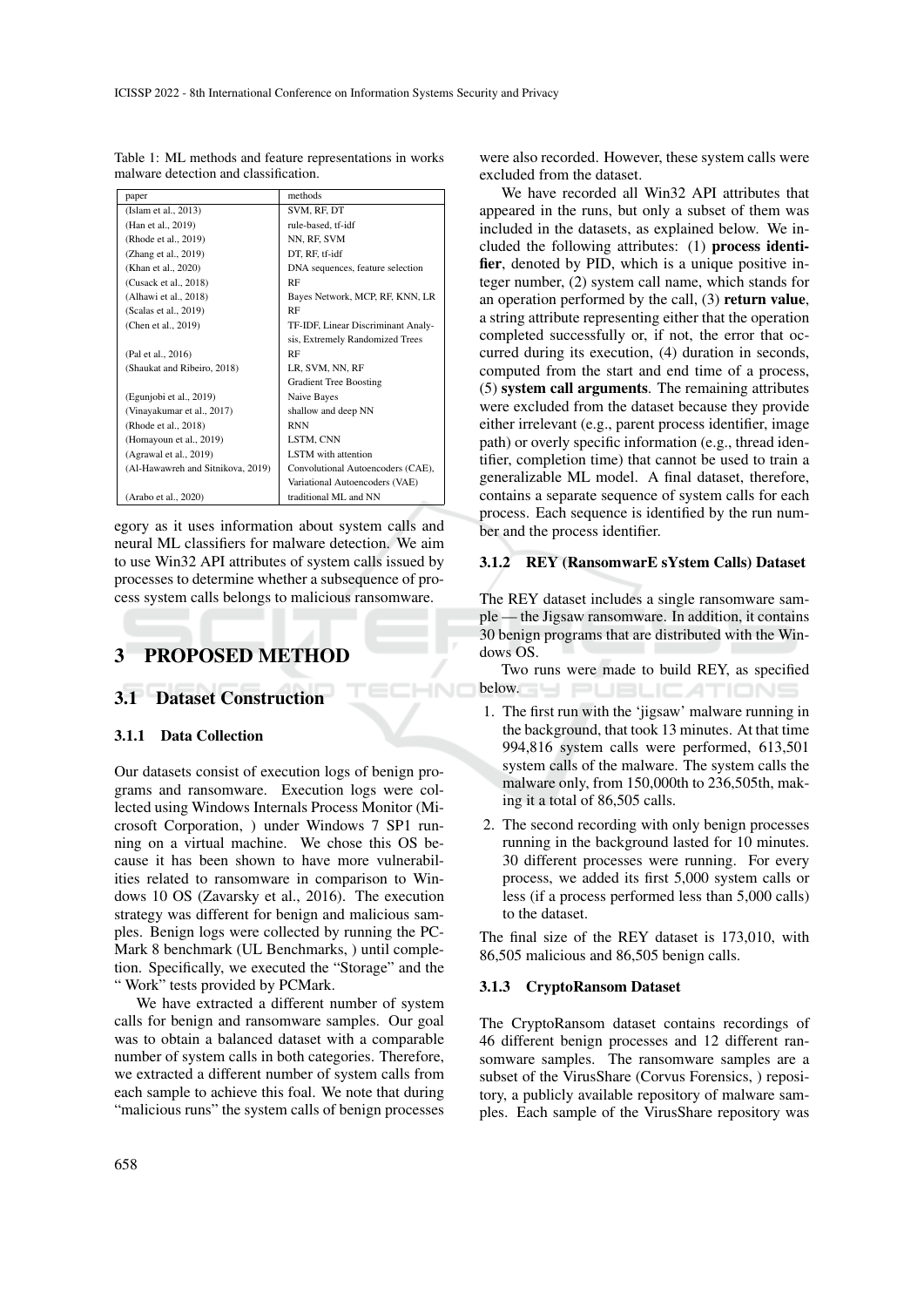|                                   | methods                            |
|-----------------------------------|------------------------------------|
| paper                             |                                    |
| (Islam et al., 2013)              | SVM, RF, DT                        |
| (Han et al., 2019)                | rule-based, tf-idf                 |
| (Rhode et al., 2019)              | NN, RF, SVM                        |
| (Zhang et al., 2019)              | DT, RF, tf-idf                     |
| (Khan et al., 2020)               | DNA sequences, feature selection   |
| (Cusack et al., 2018)             | RF                                 |
| (Alhawi et al., 2018)             | Bayes Network, MCP, RF, KNN, LR    |
| (Scalas et al., 2019)             | RF                                 |
| (Chen et al., 2019)               | TF-IDF, Linear Discriminant Analy- |
|                                   | sis, Extremely Randomized Trees    |
| (Pal et al., 2016)                | RF                                 |
| (Shaukat and Ribeiro, 2018)       | LR, SVM, NN, RF                    |
|                                   | <b>Gradient Tree Boosting</b>      |
| (Egunjobi et al., 2019)           | Naive Bayes                        |
| (Vinayakumar et al., 2017)        | shallow and deep NN                |
| (Rhode et al., 2018)              | <b>RNN</b>                         |
| (Homayoun et al., 2019)           | LSTM, CNN                          |
| (Agrawal et al., 2019)            | <b>LSTM</b> with attention         |
| (Al-Hawawreh and Sitnikova, 2019) | Convolutional Autoencoders (CAE),  |
|                                   | Variational Autoencoders (VAE)     |
| (Arabo et al., 2020)              | traditional ML and NN              |

Table 1: ML methods and feature representations in works malware detection and classification.

egory as it uses information about system calls and neural ML classifiers for malware detection. We aim to use Win32 API attributes of system calls issued by processes to determine whether a subsequence of process system calls belongs to malicious ransomware.

HNC

# 3 PROPOSED METHOD

## 3.1 Dataset Construction

#### 3.1.1 Data Collection

Our datasets consist of execution logs of benign programs and ransomware. Execution logs were collected using Windows Internals Process Monitor (Microsoft Corporation, ) under Windows 7 SP1 running on a virtual machine. We chose this OS because it has been shown to have more vulnerabilities related to ransomware in comparison to Windows 10 OS (Zavarsky et al., 2016). The execution strategy was different for benign and malicious samples. Benign logs were collected by running the PC-Mark 8 benchmark (UL Benchmarks, ) until completion. Specifically, we executed the "Storage" and the " Work" tests provided by PCMark.

We have extracted a different number of system calls for benign and ransomware samples. Our goal was to obtain a balanced dataset with a comparable number of system calls in both categories. Therefore, we extracted a different number of system calls from each sample to achieve this foal. We note that during "malicious runs" the system calls of benign processes

were also recorded. However, these system calls were excluded from the dataset.

We have recorded all Win32 API attributes that appeared in the runs, but only a subset of them was included in the datasets, as explained below. We included the following attributes: (1) process identifier, denoted by PID, which is a unique positive integer number, (2) system call name, which stands for an operation performed by the call, (3) return value, a string attribute representing either that the operation completed successfully or, if not, the error that occurred during its execution, (4) duration in seconds, computed from the start and end time of a process, (5) system call arguments. The remaining attributes were excluded from the dataset because they provide either irrelevant (e.g., parent process identifier, image path) or overly specific information (e.g., thread identifier, completion time) that cannot be used to train a generalizable ML model. A final dataset, therefore, contains a separate sequence of system calls for each process. Each sequence is identified by the run number and the process identifier.

#### 3.1.2 REY (RansomwarE sYstem Calls) Dataset

The REY dataset includes a single ransomware sample — the Jigsaw ransomware. In addition, it contains 30 benign programs that are distributed with the Windows OS.

Two runs were made to build REY, as specified **below. SHIPUBLICATIONS** 

- 1. The first run with the 'jigsaw' malware running in the background, that took 13 minutes. At that time 994,816 system calls were performed, 613,501 system calls of the malware. The system calls the malware only, from 150,000th to 236,505th, making it a total of 86,505 calls.
- 2. The second recording with only benign processes running in the background lasted for 10 minutes. 30 different processes were running. For every process, we added its first 5,000 system calls or less (if a process performed less than 5,000 calls) to the dataset.

The final size of the REY dataset is 173,010, with 86,505 malicious and 86,505 benign calls.

#### 3.1.3 CryptoRansom Dataset

The CryptoRansom dataset contains recordings of 46 different benign processes and 12 different ransomware samples. The ransomware samples are a subset of the VirusShare (Corvus Forensics, ) repository, a publicly available repository of malware samples. Each sample of the VirusShare repository was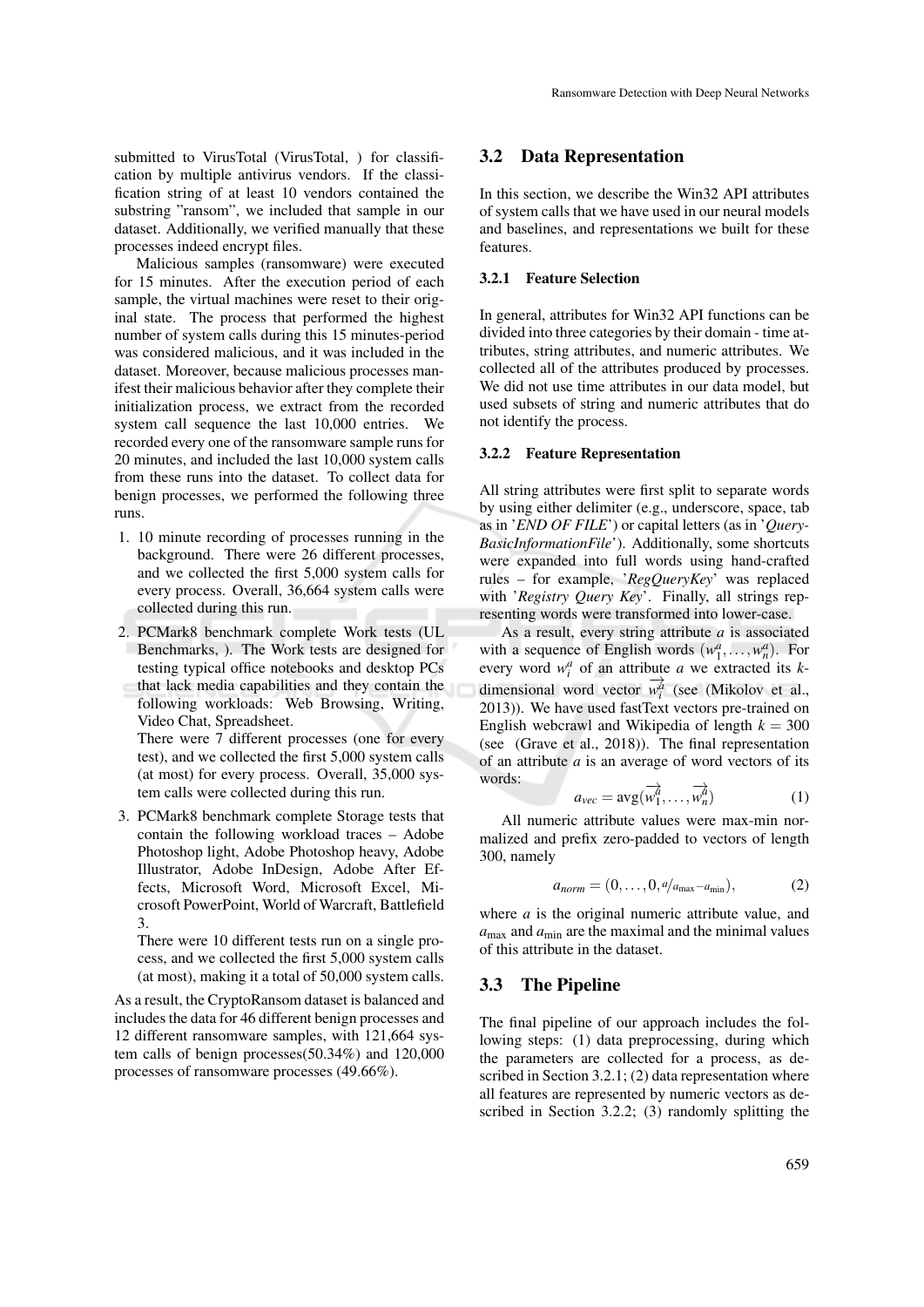submitted to VirusTotal (VirusTotal, ) for classification by multiple antivirus vendors. If the classification string of at least 10 vendors contained the substring "ransom", we included that sample in our dataset. Additionally, we verified manually that these processes indeed encrypt files.

Malicious samples (ransomware) were executed for 15 minutes. After the execution period of each sample, the virtual machines were reset to their original state. The process that performed the highest number of system calls during this 15 minutes-period was considered malicious, and it was included in the dataset. Moreover, because malicious processes manifest their malicious behavior after they complete their initialization process, we extract from the recorded system call sequence the last 10,000 entries. We recorded every one of the ransomware sample runs for 20 minutes, and included the last 10,000 system calls from these runs into the dataset. To collect data for benign processes, we performed the following three runs.

- 1. 10 minute recording of processes running in the background. There were 26 different processes, and we collected the first 5,000 system calls for every process. Overall, 36,664 system calls were collected during this run.
- 2. PCMark8 benchmark complete Work tests (UL Benchmarks, ). The Work tests are designed for testing typical office notebooks and desktop PCs that lack media capabilities and they contain the following workloads: Web Browsing, Writing, Video Chat, Spreadsheet.

There were 7 different processes (one for every test), and we collected the first 5,000 system calls (at most) for every process. Overall, 35,000 system calls were collected during this run.

3. PCMark8 benchmark complete Storage tests that contain the following workload traces – Adobe Photoshop light, Adobe Photoshop heavy, Adobe Illustrator, Adobe InDesign, Adobe After Effects, Microsoft Word, Microsoft Excel, Microsoft PowerPoint, World of Warcraft, Battlefield 3.

There were 10 different tests run on a single process, and we collected the first 5,000 system calls (at most), making it a total of 50,000 system calls.

As a result, the CryptoRansom dataset is balanced and includes the data for 46 different benign processes and 12 different ransomware samples, with 121,664 system calls of benign processes(50.34%) and 120,000 processes of ransomware processes (49.66%).

#### 3.2 Data Representation

In this section, we describe the Win32 API attributes of system calls that we have used in our neural models and baselines, and representations we built for these features.

### 3.2.1 Feature Selection

In general, attributes for Win32 API functions can be divided into three categories by their domain - time attributes, string attributes, and numeric attributes. We collected all of the attributes produced by processes. We did not use time attributes in our data model, but used subsets of string and numeric attributes that do not identify the process.

#### 3.2.2 Feature Representation

All string attributes were first split to separate words by using either delimiter (e.g., underscore, space, tab as in '*END OF FILE*') or capital letters (as in '*Query-BasicInformationFile*'). Additionally, some shortcuts were expanded into full words using hand-crafted rules – for example, '*RegQueryKey*' was replaced with '*Registry Query Key*'. Finally, all strings representing words were transformed into lower-case.

As a result, every string attribute *a* is associated with a sequence of English words  $(w_1^a, \ldots, w_n^a)$ . For every word  $w_i^a$  of an attribute *a* we extracted its *k*dimensional word vector  $\overrightarrow{w_i^a}$  (see (Mikolov et al., 2013)). We have used fastText vectors pre-trained on English webcrawl and Wikipedia of length  $k = 300$ (see (Grave et al., 2018)). The final representation of an attribute *a* is an average of word vectors of its words:

$$
a_{\text{vec}} = \text{avg}(\overrightarrow{w_1^a}, \dots, \overrightarrow{w_n^a})
$$
 (1)

All numeric attribute values were max-min normalized and prefix zero-padded to vectors of length 300, namely

$$
a_{norm} = (0, \ldots, 0, a/a_{\text{max}} - a_{\text{min}}), \qquad (2)
$$

where *a* is the original numeric attribute value, and  $a_{\text{max}}$  and  $a_{\text{min}}$  are the maximal and the minimal values of this attribute in the dataset.

### 3.3 The Pipeline

The final pipeline of our approach includes the following steps: (1) data preprocessing, during which the parameters are collected for a process, as described in Section 3.2.1; (2) data representation where all features are represented by numeric vectors as described in Section 3.2.2; (3) randomly splitting the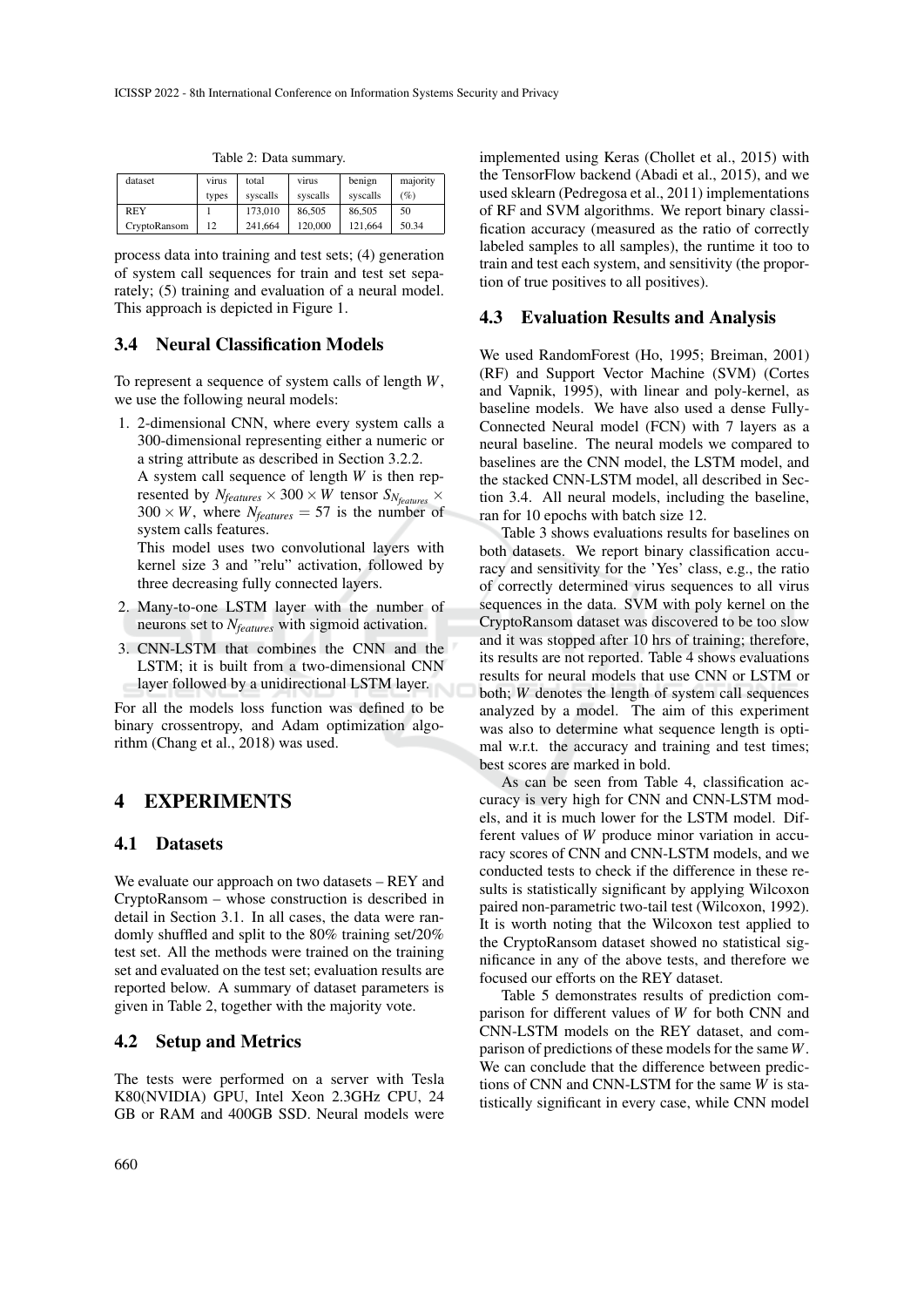| dataset      | virus | total    | virus    | benign   | majority |
|--------------|-------|----------|----------|----------|----------|
|              | types | syscalls | syscalls | syscalls | (%)      |
| <b>REY</b>   |       | 173,010  | 86,505   | 86,505   | 50       |
| CryptoRansom | 12    | 241,664  | 120,000  | 121.664  | 50.34    |

Table 2: Data summary.

process data into training and test sets; (4) generation of system call sequences for train and test set separately; (5) training and evaluation of a neural model. This approach is depicted in Figure 1.

### 3.4 Neural Classification Models

To represent a sequence of system calls of length *W*, we use the following neural models:

1. 2-dimensional CNN, where every system calls a 300-dimensional representing either a numeric or a string attribute as described in Section 3.2.2. A system call sequence of length *W* is then represented by  $N_{features} \times 300 \times W$  tensor  $S_{N_{features}} \times$  $300 \times W$ , where  $N_{features} = 57$  is the number of

system calls features. This model uses two convolutional layers with kernel size 3 and "relu" activation, followed by three decreasing fully connected layers.

- 2. Many-to-one LSTM layer with the number of neurons set to *Nfeatures* with sigmoid activation.
- 3. CNN-LSTM that combines the CNN and the LSTM; it is built from a two-dimensional CNN layer followed by a unidirectional LSTM layer.

For all the models loss function was defined to be binary crossentropy, and Adam optimization algorithm (Chang et al., 2018) was used.

## 4 EXPERIMENTS

#### 4.1 Datasets

We evaluate our approach on two datasets – REY and CryptoRansom – whose construction is described in detail in Section 3.1. In all cases, the data were randomly shuffled and split to the 80% training set/20% test set. All the methods were trained on the training set and evaluated on the test set; evaluation results are reported below. A summary of dataset parameters is given in Table 2, together with the majority vote.

### 4.2 Setup and Metrics

The tests were performed on a server with Tesla K80(NVIDIA) GPU, Intel Xeon 2.3GHz CPU, 24 GB or RAM and 400GB SSD. Neural models were implemented using Keras (Chollet et al., 2015) with the TensorFlow backend (Abadi et al., 2015), and we used sklearn (Pedregosa et al., 2011) implementations of RF and SVM algorithms. We report binary classification accuracy (measured as the ratio of correctly labeled samples to all samples), the runtime it too to train and test each system, and sensitivity (the proportion of true positives to all positives).

#### 4.3 Evaluation Results and Analysis

We used RandomForest (Ho, 1995; Breiman, 2001) (RF) and Support Vector Machine (SVM) (Cortes and Vapnik, 1995), with linear and poly-kernel, as baseline models. We have also used a dense Fully-Connected Neural model (FCN) with 7 layers as a neural baseline. The neural models we compared to baselines are the CNN model, the LSTM model, and the stacked CNN-LSTM model, all described in Section 3.4. All neural models, including the baseline, ran for 10 epochs with batch size 12.

Table 3 shows evaluations results for baselines on both datasets. We report binary classification accuracy and sensitivity for the 'Yes' class, e.g., the ratio of correctly determined virus sequences to all virus sequences in the data. SVM with poly kernel on the CryptoRansom dataset was discovered to be too slow and it was stopped after 10 hrs of training; therefore, its results are not reported. Table 4 shows evaluations results for neural models that use CNN or LSTM or both; *W* denotes the length of system call sequences analyzed by a model. The aim of this experiment was also to determine what sequence length is optimal w.r.t. the accuracy and training and test times; best scores are marked in bold.

As can be seen from Table 4, classification accuracy is very high for CNN and CNN-LSTM models, and it is much lower for the LSTM model. Different values of *W* produce minor variation in accuracy scores of CNN and CNN-LSTM models, and we conducted tests to check if the difference in these results is statistically significant by applying Wilcoxon paired non-parametric two-tail test (Wilcoxon, 1992). It is worth noting that the Wilcoxon test applied to the CryptoRansom dataset showed no statistical significance in any of the above tests, and therefore we focused our efforts on the REY dataset.

Table 5 demonstrates results of prediction comparison for different values of *W* for both CNN and CNN-LSTM models on the REY dataset, and comparison of predictions of these models for the same *W*. We can conclude that the difference between predictions of CNN and CNN-LSTM for the same *W* is statistically significant in every case, while CNN model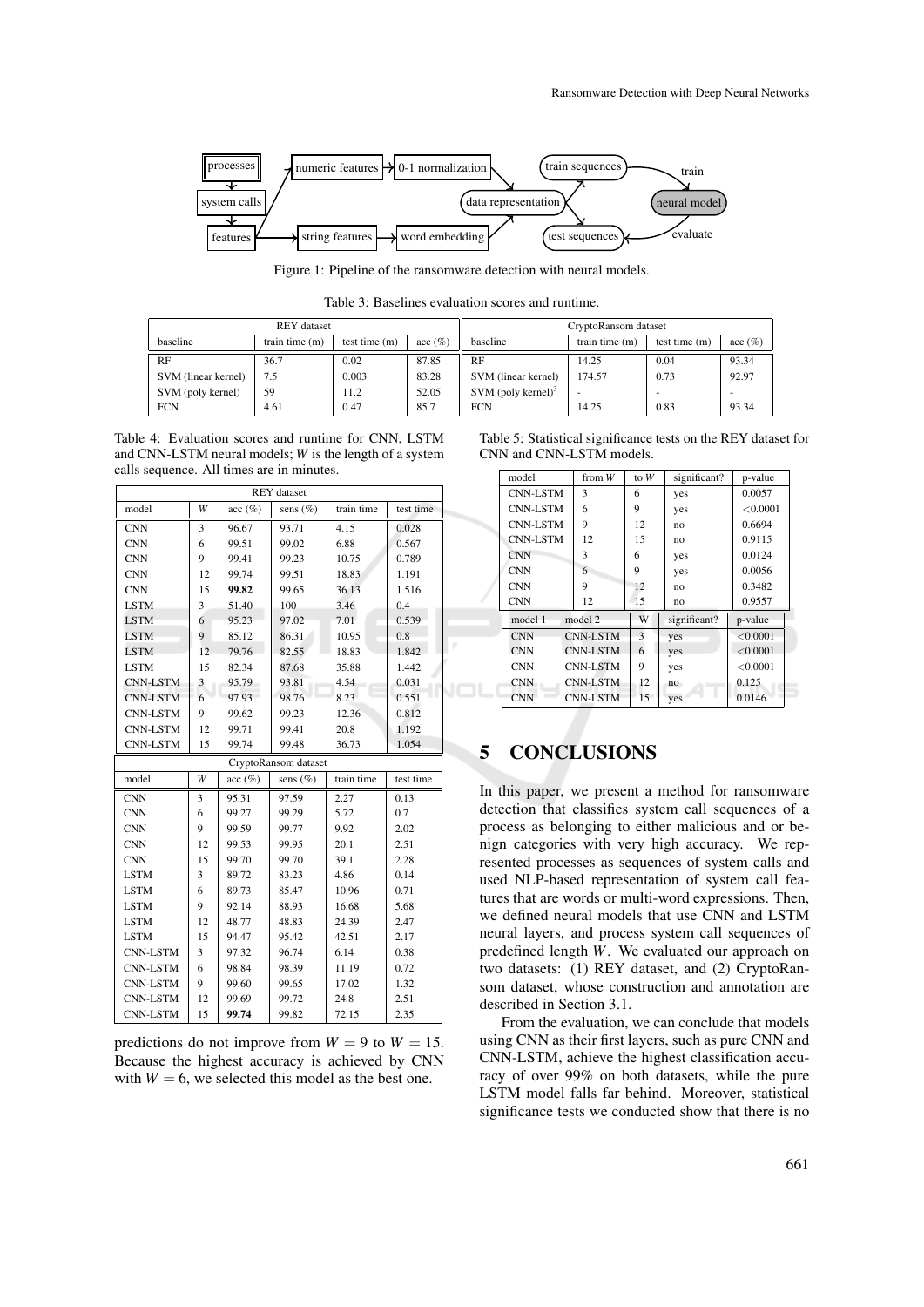

Figure 1: Pipeline of the ransomware detection with neural models.

Table 3: Baselines evaluation scores and runtime.

|                     | <b>REY</b> dataset |                 |        | CryptoRansom dataset  |                  |                 |            |
|---------------------|--------------------|-----------------|--------|-----------------------|------------------|-----------------|------------|
| baseline            | train time $(m)$   | test time $(m)$ | acc(%) | baseline              | train time $(m)$ | test time $(m)$ | $\sec(\%)$ |
| RF                  | 36.7               | 0.02            | 87.85  | RF                    | 14.25            | 0.04            | 93.34      |
| SVM (linear kernel) | 7.5                | 0.003           | 83.28  | SVM (linear kernel)   | 174.57           | 0.73            | 92.97      |
| SVM (poly kernel)   | 59                 | 11.2            | 52.05  | SVM (poly kernel) $3$ |                  |                 |            |
| <b>FCN</b>          | 4.61               | 0.47            | 85.7   | <b>FCN</b>            | 14.25            | 0.83            | 93.34      |

Table 4: Evaluation scores and runtime for CNN, LSTM and CNN-LSTM neural models; *W* is the length of a system calls sequence. All times are in minutes.

| REY dataset     |    |            |                      |            |           |  |  |  |
|-----------------|----|------------|----------------------|------------|-----------|--|--|--|
| model           | W  | $acc (\%)$ | sens $(\%)$          | train time |           |  |  |  |
| <b>CNN</b>      | 3  | 96.67      | 93.71                | 4.15       | 0.028     |  |  |  |
| <b>CNN</b>      | 6  | 99.51      | 99.02                | 6.88       | 0.567     |  |  |  |
| <b>CNN</b>      | 9  | 99.41      | 99.23                | 10.75      | 0.789     |  |  |  |
| <b>CNN</b>      | 12 | 99.74      | 99.51                | 18.83      | 1.191     |  |  |  |
| <b>CNN</b>      | 15 | 99.82      | 99.65                | 36.13      | 1.516     |  |  |  |
| <b>LSTM</b>     | 3  | 51.40      | 100                  | 3.46       | 0.4       |  |  |  |
| <b>LSTM</b>     | 6  | 95.23      | 97.02                | 7.01       | 0.539     |  |  |  |
| <b>LSTM</b>     | 9  | 85.12      | 86.31                | 10.95      | 0.8       |  |  |  |
| <b>LSTM</b>     | 12 | 79.76      | 82.55                | 18.83      | 1.842     |  |  |  |
| <b>LSTM</b>     | 15 | 82.34      | 87.68                | 35.88      | 1.442     |  |  |  |
| <b>CNN-LSTM</b> | 3  | 95.79      | 93.81                | 4.54       | 0.031     |  |  |  |
| <b>CNN-LSTM</b> | 6  | 97.93      | 98.76                | 8.23       | 0.551     |  |  |  |
| <b>CNN-LSTM</b> | 9  | 99.62      | 99.23                | 12.36      | 0.812     |  |  |  |
| <b>CNN-LSTM</b> | 12 | 99.71      | 99.41                | 20.8       | 1.192     |  |  |  |
| <b>CNN-LSTM</b> | 15 | 99.74      | 99.48                | 36.73      | 1.054     |  |  |  |
|                 |    |            | CryptoRansom dataset |            |           |  |  |  |
| model           | W  | $acc (\%)$ | sens $(\%)$          | train time | test time |  |  |  |
| <b>CNN</b>      | 3  | 95.31      | 97.59                | 2.27       | 0.13      |  |  |  |
| <b>CNN</b>      | 6  | 99.27      | 99.29                | 5.72       | 0.7       |  |  |  |
| <b>CNN</b>      | 9  | 99.59      | 99.77                | 9.92       | 2.02      |  |  |  |
| <b>CNN</b>      | 12 | 99.53      | 99.95                | 20.1       | 2.51      |  |  |  |
| <b>CNN</b>      | 15 | 99.70      | 99.70                | 39.1       | 2.28      |  |  |  |
| <b>LSTM</b>     | 3  | 89.72      | 83.23                | 4.86       | 0.14      |  |  |  |
| <b>LSTM</b>     | 6  | 89.73      | 85.47                | 10.96      | 0.71      |  |  |  |
| <b>LSTM</b>     | 9  | 92.14      | 88.93                | 16.68      | 5.68      |  |  |  |
| <b>LSTM</b>     | 12 | 48.77      | 48.83                | 24.39      | 2.47      |  |  |  |
| <b>LSTM</b>     | 15 | 94.47      | 95.42                | 42.51      | 2.17      |  |  |  |
| <b>CNN-LSTM</b> | 3  | 97.32      | 96.74                | 6.14       | 0.38      |  |  |  |
| <b>CNN-LSTM</b> | 6  | 98.84      | 98.39                | 11.19      | 0.72      |  |  |  |
| <b>CNN-LSTM</b> | 9  | 99.60      | 99.65                | 17.02      | 1.32      |  |  |  |
| <b>CNN-LSTM</b> | 12 | 99.69      | 99.72                | 24.8       | 2.51      |  |  |  |
| <b>CNN-LSTM</b> | 15 | 99.74      | 99.82                | 72.15      | 2.35      |  |  |  |

predictions do not improve from  $W = 9$  to  $W = 15$ . Because the highest accuracy is achieved by CNN with  $W = 6$ , we selected this model as the best one.

| Table 5: Statistical significance tests on the REY dataset for |  |  |  |  |  |  |  |
|----------------------------------------------------------------|--|--|--|--|--|--|--|
| CNN and CNN-LSTM models.                                       |  |  |  |  |  |  |  |

|  | model                    | from $W$        |                 | to $W$       | significant?   | p-value  |
|--|--------------------------|-----------------|-----------------|--------------|----------------|----------|
|  |                          |                 |                 |              |                |          |
|  | <b>CNN-LSTM</b>          |                 | 3               | 6            | yes            | 0.0057   |
|  | <b>CNN-LSTM</b>          |                 | 6               | 9            | yes            | < 0.0001 |
|  | CNN-LSTM                 |                 | 9               | 12           | no             | 0.6694   |
|  | <b>CNN-LSTM</b>          |                 | 12              | 15           | no             | 0.9115   |
|  | <b>CNN</b>               |                 | 3               | 6            | yes            | 0.0124   |
|  | <b>CNN</b>               |                 | 6               | 9            | yes            | 0.0056   |
|  | <b>CNN</b><br><b>CNN</b> |                 | 9               | 12           | n <sub>0</sub> | 0.3482   |
|  |                          |                 | 12              | 15           | n <sub>0</sub> | 0.9557   |
|  | model 1                  | model 2         |                 | W            | significant?   | p-value  |
|  | <b>CNN</b>               | <b>CNN-LSTM</b> |                 | $\mathbf{3}$ | yes            | < 0.0001 |
|  | <b>CNN</b>               | <b>CNN-LSTM</b> |                 |              | yes            | < 0.0001 |
|  | <b>CNN</b>               |                 | <b>CNN-LSTM</b> | 9            | yes            | < 0.0001 |
|  | <b>CNN</b>               | <b>CNN-LSTM</b> |                 |              | no             | 0.125    |
|  | <b>CNN</b>               |                 | <b>CNN-LSTM</b> | 15           | yes            | 0.0146   |

# 5 CONCLUSIONS

In this paper, we present a method for ransomware detection that classifies system call sequences of a process as belonging to either malicious and or benign categories with very high accuracy. We represented processes as sequences of system calls and used NLP-based representation of system call features that are words or multi-word expressions. Then, we defined neural models that use CNN and LSTM neural layers, and process system call sequences of predefined length *W*. We evaluated our approach on two datasets: (1) REY dataset, and (2) CryptoRansom dataset, whose construction and annotation are described in Section 3.1.

From the evaluation, we can conclude that models using CNN as their first layers, such as pure CNN and CNN-LSTM, achieve the highest classification accuracy of over 99% on both datasets, while the pure LSTM model falls far behind. Moreover, statistical significance tests we conducted show that there is no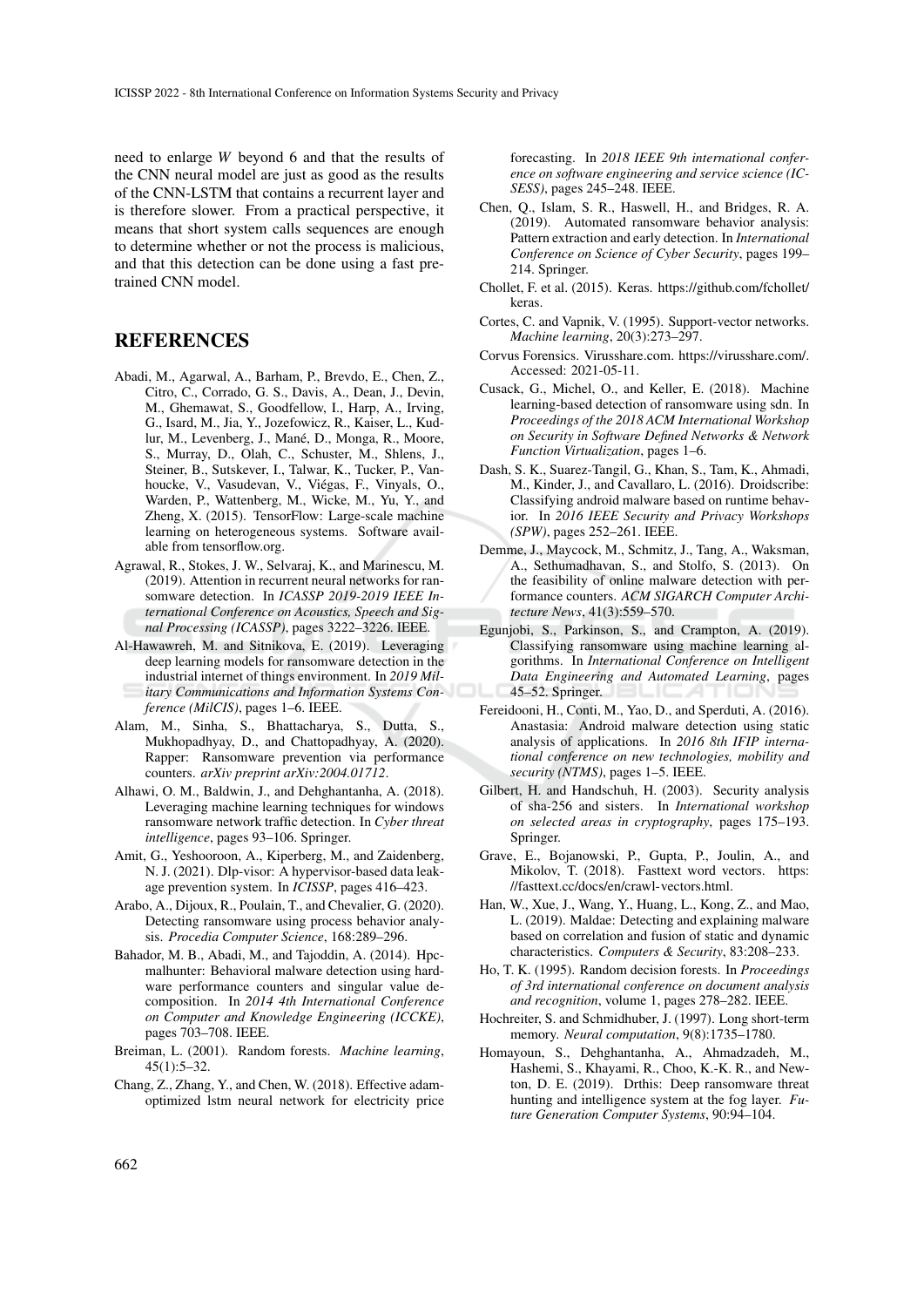need to enlarge *W* beyond 6 and that the results of the CNN neural model are just as good as the results of the CNN-LSTM that contains a recurrent layer and is therefore slower. From a practical perspective, it means that short system calls sequences are enough to determine whether or not the process is malicious, and that this detection can be done using a fast pretrained CNN model.

## **REFERENCES**

- Abadi, M., Agarwal, A., Barham, P., Brevdo, E., Chen, Z., Citro, C., Corrado, G. S., Davis, A., Dean, J., Devin, M., Ghemawat, S., Goodfellow, I., Harp, A., Irving, G., Isard, M., Jia, Y., Jozefowicz, R., Kaiser, L., Kudlur, M., Levenberg, J., Mané, D., Monga, R., Moore, S., Murray, D., Olah, C., Schuster, M., Shlens, J., Steiner, B., Sutskever, I., Talwar, K., Tucker, P., Vanhoucke, V., Vasudevan, V., Viegas, F., Vinyals, O., ´ Warden, P., Wattenberg, M., Wicke, M., Yu, Y., and Zheng, X. (2015). TensorFlow: Large-scale machine learning on heterogeneous systems. Software available from tensorflow.org.
- Agrawal, R., Stokes, J. W., Selvaraj, K., and Marinescu, M. (2019). Attention in recurrent neural networks for ransomware detection. In *ICASSP 2019-2019 IEEE International Conference on Acoustics, Speech and Signal Processing (ICASSP)*, pages 3222–3226. IEEE.
- Al-Hawawreh, M. and Sitnikova, E. (2019). Leveraging deep learning models for ransomware detection in the industrial internet of things environment. In *2019 Military Communications and Information Systems Conference (MilCIS)*, pages 1–6. IEEE.
- Alam, M., Sinha, S., Bhattacharya, S., Dutta, S., Mukhopadhyay, D., and Chattopadhyay, A. (2020). Rapper: Ransomware prevention via performance counters. *arXiv preprint arXiv:2004.01712*.
- Alhawi, O. M., Baldwin, J., and Dehghantanha, A. (2018). Leveraging machine learning techniques for windows ransomware network traffic detection. In *Cyber threat intelligence*, pages 93–106. Springer.
- Amit, G., Yeshooroon, A., Kiperberg, M., and Zaidenberg, N. J. (2021). Dlp-visor: A hypervisor-based data leakage prevention system. In *ICISSP*, pages 416–423.
- Arabo, A., Dijoux, R., Poulain, T., and Chevalier, G. (2020). Detecting ransomware using process behavior analysis. *Procedia Computer Science*, 168:289–296.
- Bahador, M. B., Abadi, M., and Tajoddin, A. (2014). Hpcmalhunter: Behavioral malware detection using hardware performance counters and singular value decomposition. In *2014 4th International Conference on Computer and Knowledge Engineering (ICCKE)*, pages 703–708. IEEE.
- Breiman, L. (2001). Random forests. *Machine learning*, 45(1):5–32.
- Chang, Z., Zhang, Y., and Chen, W. (2018). Effective adamoptimized lstm neural network for electricity price

forecasting. In *2018 IEEE 9th international conference on software engineering and service science (IC-SESS)*, pages 245–248. IEEE.

- Chen, Q., Islam, S. R., Haswell, H., and Bridges, R. A. (2019). Automated ransomware behavior analysis: Pattern extraction and early detection. In *International Conference on Science of Cyber Security*, pages 199– 214. Springer.
- Chollet, F. et al. (2015). Keras. https://github.com/fchollet/ keras.
- Cortes, C. and Vapnik, V. (1995). Support-vector networks. *Machine learning*, 20(3):273–297.
- Corvus Forensics. Virusshare.com. https://virusshare.com/. Accessed: 2021-05-11.
- Cusack, G., Michel, O., and Keller, E. (2018). Machine learning-based detection of ransomware using sdn. In *Proceedings of the 2018 ACM International Workshop on Security in Software Defined Networks & Network Function Virtualization*, pages 1–6.
- Dash, S. K., Suarez-Tangil, G., Khan, S., Tam, K., Ahmadi, M., Kinder, J., and Cavallaro, L. (2016). Droidscribe: Classifying android malware based on runtime behavior. In *2016 IEEE Security and Privacy Workshops (SPW)*, pages 252–261. IEEE.
- Demme, J., Maycock, M., Schmitz, J., Tang, A., Waksman, A., Sethumadhavan, S., and Stolfo, S. (2013). On the feasibility of online malware detection with performance counters. *ACM SIGARCH Computer Architecture News*, 41(3):559–570.
- Egunjobi, S., Parkinson, S., and Crampton, A. (2019). Classifying ransomware using machine learning algorithms. In *International Conference on Intelligent Data Engineering and Automated Learning*, pages 45–52. Springer.
- Fereidooni, H., Conti, M., Yao, D., and Sperduti, A. (2016). Anastasia: Android malware detection using static analysis of applications. In *2016 8th IFIP international conference on new technologies, mobility and security (NTMS)*, pages 1–5. IEEE.
- Gilbert, H. and Handschuh, H. (2003). Security analysis of sha-256 and sisters. In *International workshop on selected areas in cryptography*, pages 175–193. Springer.
- Grave, E., Bojanowski, P., Gupta, P., Joulin, A., and Mikolov, T. (2018). Fasttext word vectors. https: //fasttext.cc/docs/en/crawl-vectors.html.
- Han, W., Xue, J., Wang, Y., Huang, L., Kong, Z., and Mao, L. (2019). Maldae: Detecting and explaining malware based on correlation and fusion of static and dynamic characteristics. *Computers & Security*, 83:208–233.
- Ho, T. K. (1995). Random decision forests. In *Proceedings of 3rd international conference on document analysis and recognition*, volume 1, pages 278–282. IEEE.
- Hochreiter, S. and Schmidhuber, J. (1997). Long short-term memory. *Neural computation*, 9(8):1735–1780.
- Homayoun, S., Dehghantanha, A., Ahmadzadeh, M., Hashemi, S., Khayami, R., Choo, K.-K. R., and Newton, D. E. (2019). Drthis: Deep ransomware threat hunting and intelligence system at the fog layer. *Future Generation Computer Systems*, 90:94–104.